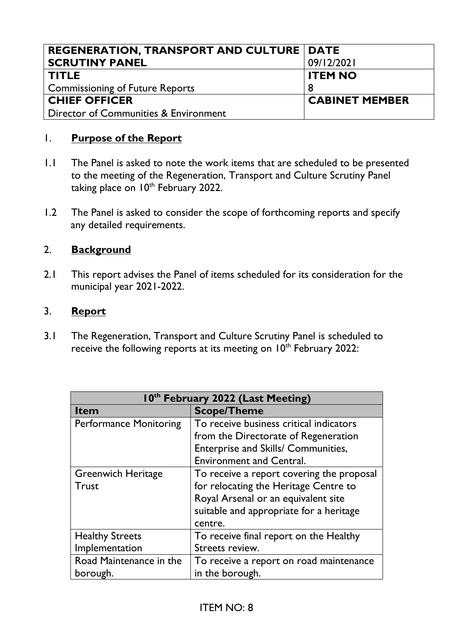| <b>REGENERATION, TRANSPORT AND CULTURE   DATE</b> |                       |
|---------------------------------------------------|-----------------------|
| <b>SCRUTINY PANEL</b>                             | 09/12/2021            |
| <b>TITLE</b>                                      | <b>ITEM NO</b>        |
| Commissioning of Future Reports                   |                       |
| <b>CHIEF OFFICER</b>                              | <b>CABINET MEMBER</b> |
| Director of Communities & Environment             |                       |

## 1. **Purpose of the Report**

- 1.1 The Panel is asked to note the work items that are scheduled to be presented to the meeting of the Regeneration, Transport and Culture Scrutiny Panel taking place on 10<sup>th</sup> February 2022.
- 1.2 The Panel is asked to consider the scope of forthcoming reports and specify any detailed requirements.

## 2. **Background**

2.1 This report advises the Panel of items scheduled for its consideration for the municipal year 2021-2022.

## 3. **Report**

3.1 The Regeneration, Transport and Culture Scrutiny Panel is scheduled to receive the following reports at its meeting on 10<sup>th</sup> February 2022:

| 10 <sup>th</sup> February 2022 (Last Meeting) |                                           |  |
|-----------------------------------------------|-------------------------------------------|--|
| <b>Item</b>                                   | <b>Scope/Theme</b>                        |  |
| <b>Performance Monitoring</b>                 | To receive business critical indicators   |  |
|                                               | from the Directorate of Regeneration      |  |
|                                               | Enterprise and Skills/ Communities,       |  |
|                                               | <b>Environment and Central.</b>           |  |
| <b>Greenwich Heritage</b>                     | To receive a report covering the proposal |  |
| <b>Trust</b>                                  | for relocating the Heritage Centre to     |  |
|                                               | Royal Arsenal or an equivalent site       |  |
|                                               | suitable and appropriate for a heritage   |  |
|                                               | centre.                                   |  |
| <b>Healthy Streets</b>                        | To receive final report on the Healthy    |  |
| Implementation                                | Streets review.                           |  |
| Road Maintenance in the                       | To receive a report on road maintenance   |  |
| borough.                                      | in the borough.                           |  |